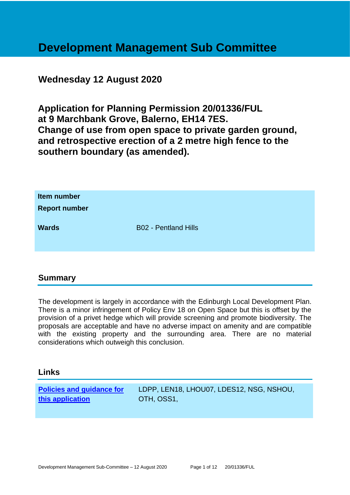# **Development Management Sub Committee**

# **Wednesday 12 August 2020**

**Application for Planning Permission 20/01336/FUL at 9 Marchbank Grove, Balerno, EH14 7ES. Change of use from open space to private garden ground, and retrospective erection of a 2 metre high fence to the southern boundary (as amended).**

| Item number<br><b>Report number</b> |                             |
|-------------------------------------|-----------------------------|
| <b>Wards</b>                        | <b>B02 - Pentland Hills</b> |

# **Summary**

The development is largely in accordance with the Edinburgh Local Development Plan. There is a minor infringement of Policy Env 18 on Open Space but this is offset by the provision of a privet hedge which will provide screening and promote biodiversity. The proposals are acceptable and have no adverse impact on amenity and are compatible with the existing property and the surrounding area. There are no material considerations which outweigh this conclusion.

#### **Links**

**[Policies and guidance for](file:///C:/uniform/temp/uf04148.rtf%23Policies)  [this application](file:///C:/uniform/temp/uf04148.rtf%23Policies)**

LDPP, LEN18, LHOU07, LDES12, NSG, NSHOU, OTH, OSS1,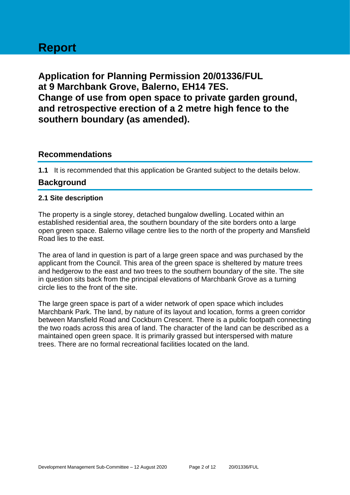# **Report**

**Application for Planning Permission 20/01336/FUL at 9 Marchbank Grove, Balerno, EH14 7ES. Change of use from open space to private garden ground, and retrospective erection of a 2 metre high fence to the southern boundary (as amended).**

## **Recommendations**

**1.1** It is recommended that this application be Granted subject to the details below.

# **Background**

#### **2.1 Site description**

The property is a single storey, detached bungalow dwelling. Located within an established residential area, the southern boundary of the site borders onto a large open green space. Balerno village centre lies to the north of the property and Mansfield Road lies to the east.

The area of land in question is part of a large green space and was purchased by the applicant from the Council. This area of the green space is sheltered by mature trees and hedgerow to the east and two trees to the southern boundary of the site. The site in question sits back from the principal elevations of Marchbank Grove as a turning circle lies to the front of the site.

The large green space is part of a wider network of open space which includes Marchbank Park. The land, by nature of its layout and location, forms a green corridor between Mansfield Road and Cockburn Crescent. There is a public footpath connecting the two roads across this area of land. The character of the land can be described as a maintained open green space. It is primarily grassed but interspersed with mature trees. There are no formal recreational facilities located on the land.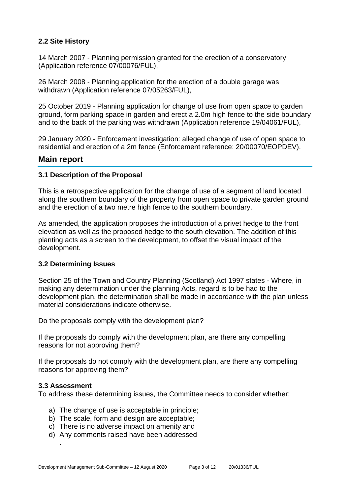#### **2.2 Site History**

14 March 2007 - Planning permission granted for the erection of a conservatory (Application reference 07/00076/FUL),

26 March 2008 - Planning application for the erection of a double garage was withdrawn (Application reference 07/05263/FUL),

25 October 2019 - Planning application for change of use from open space to garden ground, form parking space in garden and erect a 2.0m high fence to the side boundary and to the back of the parking was withdrawn (Application reference 19/04061/FUL),

29 January 2020 - Enforcement investigation: alleged change of use of open space to residential and erection of a 2m fence (Enforcement reference: 20/00070/EOPDEV).

#### **Main report**

#### **3.1 Description of the Proposal**

This is a retrospective application for the change of use of a segment of land located along the southern boundary of the property from open space to private garden ground and the erection of a two metre high fence to the southern boundary.

As amended, the application proposes the introduction of a privet hedge to the front elevation as well as the proposed hedge to the south elevation. The addition of this planting acts as a screen to the development, to offset the visual impact of the development.

#### **3.2 Determining Issues**

Section 25 of the Town and Country Planning (Scotland) Act 1997 states - Where, in making any determination under the planning Acts, regard is to be had to the development plan, the determination shall be made in accordance with the plan unless material considerations indicate otherwise.

Do the proposals comply with the development plan?

If the proposals do comply with the development plan, are there any compelling reasons for not approving them?

If the proposals do not comply with the development plan, are there any compelling reasons for approving them?

#### **3.3 Assessment**

.

To address these determining issues, the Committee needs to consider whether:

- a) The change of use is acceptable in principle;
- b) The scale, form and design are acceptable;
- c) There is no adverse impact on amenity and
- d) Any comments raised have been addressed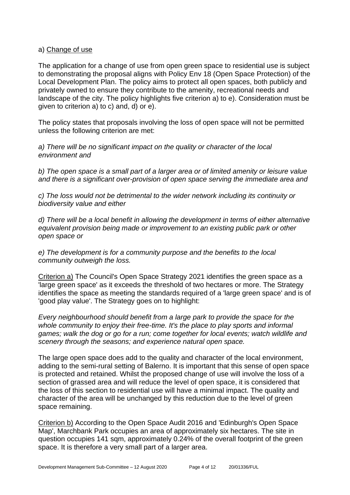#### a) Change of use

The application for a change of use from open green space to residential use is subject to demonstrating the proposal aligns with Policy Env 18 (Open Space Protection) of the Local Development Plan. The policy aims to protect all open spaces, both publicly and privately owned to ensure they contribute to the amenity, recreational needs and landscape of the city. The policy highlights five criterion a) to e). Consideration must be given to criterion a) to c) and, d) or e).

The policy states that proposals involving the loss of open space will not be permitted unless the following criterion are met:

*a) There will be no significant impact on the quality or character of the local environment and*

*b) The open space is a small part of a larger area or of limited amenity or leisure value and there is a significant over-provision of open space serving the immediate area and*

*c) The loss would not be detrimental to the wider network including its continuity or biodiversity value and either*

*d) There will be a local benefit in allowing the development in terms of either alternative equivalent provision being made or improvement to an existing public park or other open space or*

*e) The development is for a community purpose and the benefits to the local community outweigh the loss.*

Criterion a) The Council's Open Space Strategy 2021 identifies the green space as a 'large green space' as it exceeds the threshold of two hectares or more. The Strategy identifies the space as meeting the standards required of a 'large green space' and is of 'good play value'. The Strategy goes on to highlight:

*Every neighbourhood should benefit from a large park to provide the space for the whole community to enjoy their free-time. It's the place to play sports and informal games; walk the dog or go for a run; come together for local events; watch wildlife and scenery through the seasons; and experience natural open space.*

The large open space does add to the quality and character of the local environment, adding to the semi-rural setting of Balerno. It is important that this sense of open space is protected and retained. Whilst the proposed change of use will involve the loss of a section of grassed area and will reduce the level of open space, it is considered that the loss of this section to residential use will have a minimal impact. The quality and character of the area will be unchanged by this reduction due to the level of green space remaining.

Criterion b) According to the Open Space Audit 2016 and 'Edinburgh's Open Space Map', Marchbank Park occupies an area of approximately six hectares. The site in question occupies 141 sqm, approximately 0.24% of the overall footprint of the green space. It is therefore a very small part of a larger area.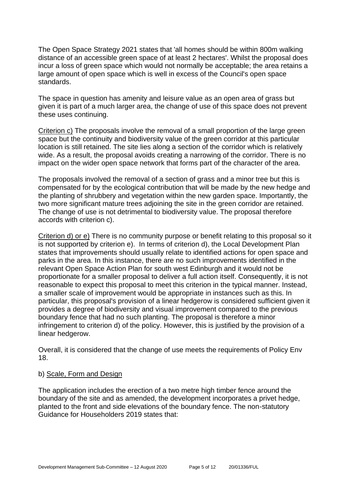The Open Space Strategy 2021 states that 'all homes should be within 800m walking distance of an accessible green space of at least 2 hectares'. Whilst the proposal does incur a loss of green space which would not normally be acceptable; the area retains a large amount of open space which is well in excess of the Council's open space standards.

The space in question has amenity and leisure value as an open area of grass but given it is part of a much larger area, the change of use of this space does not prevent these uses continuing.

Criterion c) The proposals involve the removal of a small proportion of the large green space but the continuity and biodiversity value of the green corridor at this particular location is still retained. The site lies along a section of the corridor which is relatively wide. As a result, the proposal avoids creating a narrowing of the corridor. There is no impact on the wider open space network that forms part of the character of the area.

The proposals involved the removal of a section of grass and a minor tree but this is compensated for by the ecological contribution that will be made by the new hedge and the planting of shrubbery and vegetation within the new garden space. Importantly, the two more significant mature trees adjoining the site in the green corridor are retained. The change of use is not detrimental to biodiversity value. The proposal therefore accords with criterion c).

Criterion d) or e) There is no community purpose or benefit relating to this proposal so it is not supported by criterion e). In terms of criterion d), the Local Development Plan states that improvements should usually relate to identified actions for open space and parks in the area. In this instance, there are no such improvements identified in the relevant Open Space Action Plan for south west Edinburgh and it would not be proportionate for a smaller proposal to deliver a full action itself. Consequently, it is not reasonable to expect this proposal to meet this criterion in the typical manner. Instead, a smaller scale of improvement would be appropriate in instances such as this. In particular, this proposal's provision of a linear hedgerow is considered sufficient given it provides a degree of biodiversity and visual improvement compared to the previous boundary fence that had no such planting. The proposal is therefore a minor infringement to criterion d) of the policy. However, this is justified by the provision of a linear hedgerow.

Overall, it is considered that the change of use meets the requirements of Policy Env 18.

#### b) Scale, Form and Design

The application includes the erection of a two metre high timber fence around the boundary of the site and as amended, the development incorporates a privet hedge, planted to the front and side elevations of the boundary fence. The non-statutory Guidance for Householders 2019 states that: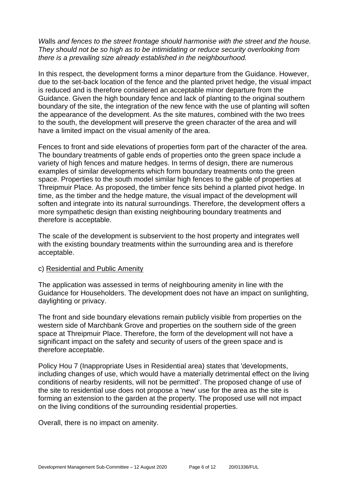*W*alls *and fences to the street frontage should harmonise with the street and the house. They should not be so high as to be intimidating or reduce security overlooking from there is a prevailing size already established in the neighbourhood.*

In this respect, the development forms a minor departure from the Guidance. However, due to the set-back location of the fence and the planted privet hedge, the visual impact is reduced and is therefore considered an acceptable minor departure from the Guidance. Given the high boundary fence and lack of planting to the original southern boundary of the site, the integration of the new fence with the use of planting will soften the appearance of the development. As the site matures, combined with the two trees to the south, the development will preserve the green character of the area and will have a limited impact on the visual amenity of the area.

Fences to front and side elevations of properties form part of the character of the area. The boundary treatments of gable ends of properties onto the green space include a variety of high fences and mature hedges. In terms of design, there are numerous examples of similar developments which form boundary treatments onto the green space. Properties to the south model similar high fences to the gable of properties at Threipmuir Place. As proposed, the timber fence sits behind a planted pivot hedge. In time, as the timber and the hedge mature, the visual impact of the development will soften and integrate into its natural surroundings. Therefore, the development offers a more sympathetic design than existing neighbouring boundary treatments and therefore is acceptable.

The scale of the development is subservient to the host property and integrates well with the existing boundary treatments within the surrounding area and is therefore acceptable.

#### c) Residential and Public Amenity

The application was assessed in terms of neighbouring amenity in line with the Guidance for Householders. The development does not have an impact on sunlighting, daylighting or privacy.

The front and side boundary elevations remain publicly visible from properties on the western side of Marchbank Grove and properties on the southern side of the green space at Threipmuir Place. Therefore, the form of the development will not have a significant impact on the safety and security of users of the green space and is therefore acceptable.

Policy Hou 7 (Inappropriate Uses in Residential area) states that 'developments, including changes of use, which would have a materially detrimental effect on the living conditions of nearby residents, will not be permitted'. The proposed change of use of the site to residential use does not propose a 'new' use for the area as the site is forming an extension to the garden at the property. The proposed use will not impact on the living conditions of the surrounding residential properties.

Overall, there is no impact on amenity.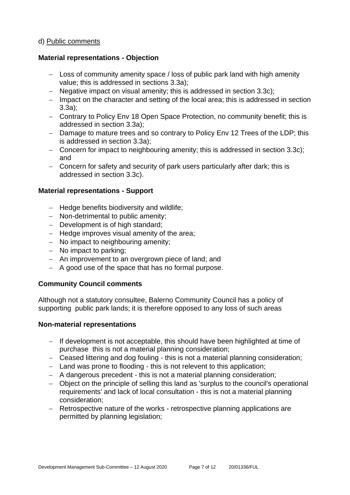#### d) Public comments

#### **Material representations - Objection**

- − Loss of community amenity space / loss of public park land with high amenity value; this is addressed in sections 3.3a);
- − Negative impact on visual amenity; this is addressed in section 3.3c);
- − Impact on the character and setting of the local area; this is addressed in section 3.3a);
- − Contrary to Policy Env 18 Open Space Protection, no community benefit; this is addressed in section 3.3a);
- − Damage to mature trees and so contrary to Policy Env 12 Trees of the LDP; this is addressed in section 3.3a);
- − Concern for impact to neighbouring amenity; this is addressed in section 3.3c); and
- − Concern for safety and security of park users particularly after dark; this is addressed in section 3.3c).

#### **Material representations - Support**

- − Hedge benefits biodiversity and wildlife;
- − Non-detrimental to public amenity;
- − Development is of high standard;
- − Hedge improves visual amenity of the area;
- − No impact to neighbouring amenity;
- − No impact to parking;
- − An improvement to an overgrown piece of land; and
- − A good use of the space that has no formal purpose.

#### **Community Council comments**

Although not a statutory consultee, Balerno Community Council has a policy of supporting public park lands; it is therefore opposed to any loss of such areas

#### **Non-material representations**

- − If development is not acceptable, this should have been highlighted at time of purchase this is not a material planning consideration;
- − Ceased littering and dog fouling this is not a material planning consideration;
- − Land was prone to flooding this is not relevent to this application;
- − A dangerous precedent this is not a material planning consideration;
- − Object on the principle of selling this land as 'surplus to the council's operational requirements' and lack of local consultation - this is not a material planning consideration;
- − Retrospective nature of the works retrospective planning applications are permitted by planning legislation;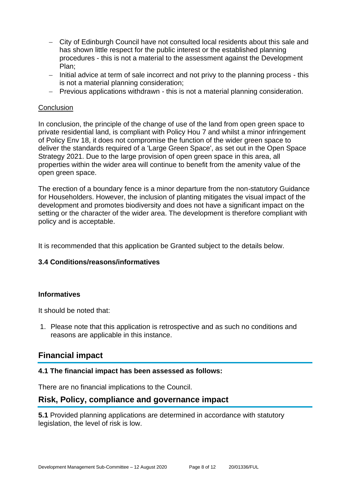- − City of Edinburgh Council have not consulted local residents about this sale and has shown little respect for the public interest or the established planning procedures - this is not a material to the assessment against the Development Plan;
- − Initial advice at term of sale incorrect and not privy to the planning process this is not a material planning consideration;
- − Previous applications withdrawn this is not a material planning consideration.

#### **Conclusion**

In conclusion, the principle of the change of use of the land from open green space to private residential land, is compliant with Policy Hou 7 and whilst a minor infringement of Policy Env 18, it does not compromise the function of the wider green space to deliver the standards required of a 'Large Green Space', as set out in the Open Space Strategy 2021. Due to the large provision of open green space in this area, all properties within the wider area will continue to benefit from the amenity value of the open green space.

The erection of a boundary fence is a minor departure from the non-statutory Guidance for Householders. However, the inclusion of planting mitigates the visual impact of the development and promotes biodiversity and does not have a significant impact on the setting or the character of the wider area. The development is therefore compliant with policy and is acceptable.

It is recommended that this application be Granted subject to the details below.

#### **3.4 Conditions/reasons/informatives**

#### **Informatives**

It should be noted that:

1. Please note that this application is retrospective and as such no conditions and reasons are applicable in this instance.

# **Financial impact**

#### **4.1 The financial impact has been assessed as follows:**

There are no financial implications to the Council.

#### **Risk, Policy, compliance and governance impact**

**5.1** Provided planning applications are determined in accordance with statutory legislation, the level of risk is low.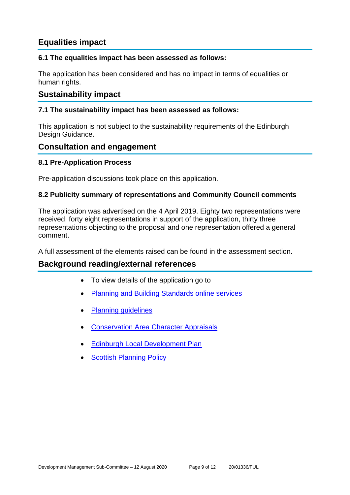# **Equalities impact**

#### **6.1 The equalities impact has been assessed as follows:**

The application has been considered and has no impact in terms of equalities or human rights.

# **Sustainability impact**

#### **7.1 The sustainability impact has been assessed as follows:**

This application is not subject to the sustainability requirements of the Edinburgh Design Guidance.

## **Consultation and engagement**

#### **8.1 Pre-Application Process**

Pre-application discussions took place on this application.

#### **8.2 Publicity summary of representations and Community Council comments**

The application was advertised on the 4 April 2019. Eighty two representations were received, forty eight representations in support of the application, thirty three representations objecting to the proposal and one representation offered a general comment.

A full assessment of the elements raised can be found in the assessment section.

# **Background reading/external references**

- To view details of the application go to
- [Planning and Building Standards online services](https://citydev-portal.edinburgh.gov.uk/idoxpa-web/search.do?action=simple&searchType=Application)
- [Planning guidelines](http://www.edinburgh.gov.uk/planningguidelines)
- [Conservation Area Character Appraisals](http://www.edinburgh.gov.uk/characterappraisals)
- **[Edinburgh Local Development Plan](http://www.edinburgh.gov.uk/localdevelopmentplan)**
- **[Scottish Planning Policy](http://www.scotland.gov.uk/Topics/Built-Environment/planning/Policy)**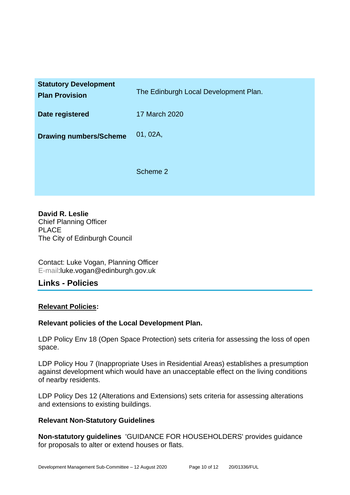| <b>Statutory Development</b><br><b>Plan Provision</b> | The Edinburgh Local Development Plan. |
|-------------------------------------------------------|---------------------------------------|
| Date registered                                       | 17 March 2020                         |
| <b>Drawing numbers/Scheme</b>                         | 01, 02A,                              |
|                                                       | Scheme 2                              |

**David R. Leslie** Chief Planning Officer PLACE The City of Edinburgh Council

Contact: Luke Vogan, Planning Officer E-mail:luke.vogan@edinburgh.gov.uk

# **Links - Policies**

#### **Relevant Policies:**

#### **Relevant policies of the Local Development Plan.**

LDP Policy Env 18 (Open Space Protection) sets criteria for assessing the loss of open space.

LDP Policy Hou 7 (Inappropriate Uses in Residential Areas) establishes a presumption against development which would have an unacceptable effect on the living conditions of nearby residents.

LDP Policy Des 12 (Alterations and Extensions) sets criteria for assessing alterations and extensions to existing buildings.

#### **Relevant Non-Statutory Guidelines**

**Non-statutory guidelines** 'GUIDANCE FOR HOUSEHOLDERS' provides guidance for proposals to alter or extend houses or flats.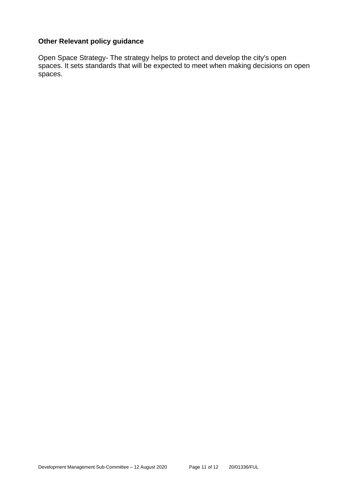#### **Other Relevant policy guidance**

Open Space Strategy- The strategy helps to protect and develop the city's open spaces. It sets standards that will be expected to meet when making decisions on open spaces.